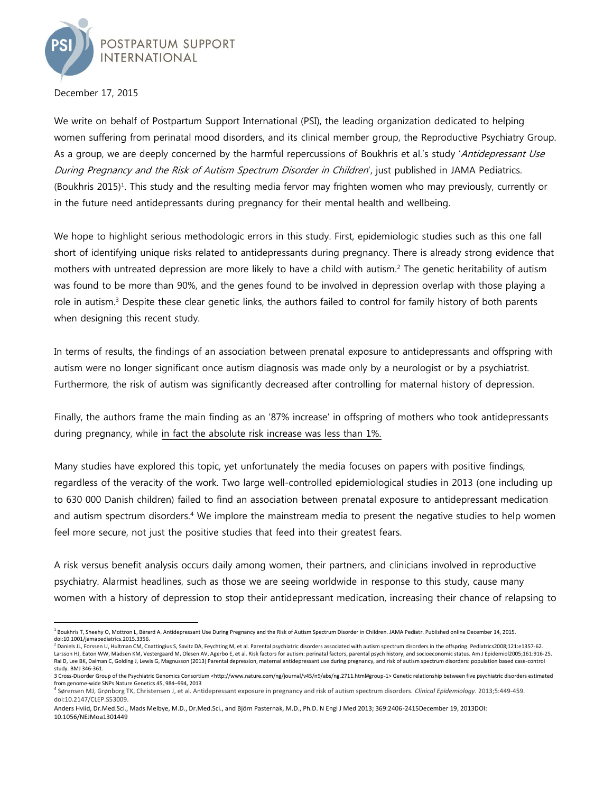

December 17, 2015

We write on behalf of Postpartum Support International (PSI), the leading organization dedicated to helping women suffering from perinatal mood disorders, and its clinical member group, the Reproductive Psychiatry Group. As a group, we are deeply concerned by the harmful repercussions of Boukhris et al.'s study 'Antidepressant Use During Pregnancy and the Risk of Autism Spectrum Disorder in Children', just published in JAMA Pediatrics. (Boukhris 2015)<sup>1</sup>. This study and the resulting media fervor may frighten women who may previously, currently or in the future need antidepressants during pregnancy for their mental health and wellbeing.

We hope to highlight serious methodologic errors in this study. First, epidemiologic studies such as this one fall short of identifying unique risks related to antidepressants during pregnancy. There is already strong evidence that mothers with untreated depression are more likely to have a child with autism.<sup>2</sup> The genetic heritability of autism was found to be more than 90%, and the genes found to be involved in depression overlap with those playing a role in autism.<sup>3</sup> Despite these clear genetic links, the authors failed to control for family history of both parents when designing this recent study.

In terms of results, the findings of an association between prenatal exposure to antidepressants and offspring with autism were no longer significant once autism diagnosis was made only by a neurologist or by a psychiatrist. Furthermore, the risk of autism was significantly decreased after controlling for maternal history of depression.

Finally, the authors frame the main finding as an '87% increase' in offspring of mothers who took antidepressants during pregnancy, while in fact the absolute risk increase was less than 1%.

Many studies have explored this topic, yet unfortunately the media focuses on papers with positive findings, regardless of the veracity of the work. Two large well-controlled epidemiological studies in 2013 (one including up to 630 000 Danish children) failed to find an association between prenatal exposure to antidepressant medication and autism spectrum disorders. <sup>4</sup> We implore the mainstream media to present the negative studies to help women feel more secure, not just the positive studies that feed into their greatest fears.

A risk versus benefit analysis occurs daily among women, their partners, and clinicians involved in reproductive psychiatry. Alarmist headlines, such as those we are seeing worldwide in response to this study, cause many women with a history of depression to stop their antidepressant medication, increasing their chance of relapsing to

 $\overline{a}$ <sup>1</sup> Boukhris T, Sheehy O, Mottron L, Bérard A. Antidepressant Use During Pregnancy and the Risk of Autism Spectrum Disorder in Children. JAMA Pediatr. Published online December 14, 2015. doi:10.1001/jamapediatrics.2015.3356.

<sup>2</sup> Daniels JL, Forssen U, Hultman CM, Cnattingius S, Savitz DA, Feychting M, et al. Parental psychiatric disorders associated with autism spectrum disorders in the offspring. Pediatrics2008;121:e1357-62. Larsson HJ, Eaton WW, Madsen KM, Vestergaard M, Olesen AV, Agerbo E, et al. Risk factors for autism: perinatal factors, parental psych history, and socioeconomic status. Am J Epidemiol2005;161:916-25. Rai D, Lee BK, Dalman C, Golding J, Lewis G, Magnusson (2013) Parental depression, maternal antidepressant use during pregnancy, and risk of autism spectrum disorders: population based case-control study. BMJ 346-361.

<sup>3</sup> Cross-Disorder Group of the Psychiatric Genomics Consortium <http://www.nature.com/ng/journal/v45/n9/abs/ng.2711.html#group-1> Genetic relationship between five psychiatric disorders estimated from genome-wide SNPs Nature Genetics 45, 984–994, 2013

<sup>4</sup> Sørensen MJ, Grønborg TK, Christensen J, et al. Antidepressant exposure in pregnancy and risk of autism spectrum disorders. *Clinical Epidemiology*. 2013;5:449-459. doi:10.2147/CLEP.S53009.

Anders Hviid, Dr.Med.Sci., Mads Melbye, M.D., Dr.Med.Sci., and Björn Pasternak, M.D., Ph.D. N Engl J Med 2013; 369:2406-2415December 19, 2013DOI: 10.1056/NEJMoa1301449